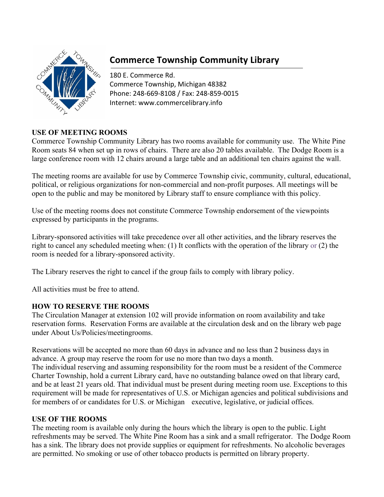

# **Commerce Township Community Library**

180 E. Commerce Rd. Commerce Township, Michigan 48382 Phone: 248-669-8108 / Fax: 248-859-0015 Internet: www.commercelibrary.info

## **USE OF MEETING ROOMS**

Commerce Township Community Library has two rooms available for community use. The White Pine Room seats 84 when set up in rows of chairs. There are also 20 tables available. The Dodge Room is a large conference room with 12 chairs around a large table and an additional ten chairs against the wall.

The meeting rooms are available for use by Commerce Township civic, community, cultural, educational, political, or religious organizations for non-commercial and non-profit purposes. All meetings will be open to the public and may be monitored by Library staff to ensure compliance with this policy.

Use of the meeting rooms does not constitute Commerce Township endorsement of the viewpoints expressed by participants in the programs.

Library-sponsored activities will take precedence over all other activities, and the library reserves the right to cancel any scheduled meeting when: (1) It conflicts with the operation of the library or (2) the room is needed for a library-sponsored activity.

The Library reserves the right to cancel if the group fails to comply with library policy.

All activities must be free to attend.

## **HOW TO RESERVE THE ROOMS**

The Circulation Manager at extension 102 will provide information on room availability and take reservation forms. Reservation Forms are available at the circulation desk and on the library web page under About Us/Policies/meetingrooms.

Reservations will be accepted no more than 60 days in advance and no less than 2 business days in advance. A group may reserve the room for use no more than two days a month. The individual reserving and assuming responsibility for the room must be a resident of the Commerce Charter Township, hold a current Library card, have no outstanding balance owed on that library card, and be at least 21 years old. That individual must be present during meeting room use. Exceptions to this requirement will be made for representatives of U.S. or Michigan agencies and political subdivisions and for members of or candidates for U.S. or Michigan executive, legislative, or judicial offices.

## **USE OF THE ROOMS**

The meeting room is available only during the hours which the library is open to the public. Light refreshments may be served. The White Pine Room has a sink and a small refrigerator. The Dodge Room has a sink. The library does not provide supplies or equipment for refreshments. No alcoholic beverages are permitted. No smoking or use of other tobacco products is permitted on library property.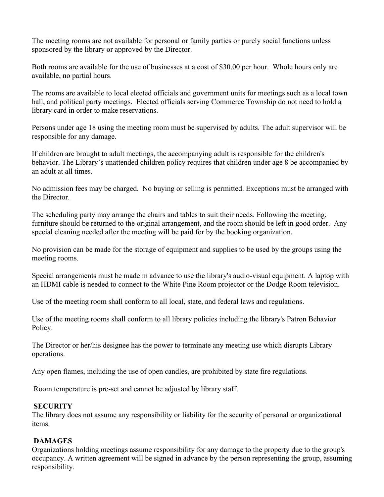The meeting rooms are not available for personal or family parties or purely social functions unless sponsored by the library or approved by the Director.

Both rooms are available for the use of businesses at a cost of \$30.00 per hour. Whole hours only are available, no partial hours.

The rooms are available to local elected officials and government units for meetings such as a local town hall, and political party meetings. Elected officials serving Commerce Township do not need to hold a library card in order to make reservations.

Persons under age 18 using the meeting room must be supervised by adults. The adult supervisor will be responsible for any damage.

If children are brought to adult meetings, the accompanying adult is responsible for the children's behavior. The Library's unattended children policy requires that children under age 8 be accompanied by an adult at all times.

No admission fees may be charged. No buying or selling is permitted. Exceptions must be arranged with the Director.

The scheduling party may arrange the chairs and tables to suit their needs. Following the meeting, furniture should be returned to the original arrangement, and the room should be left in good order. Any special cleaning needed after the meeting will be paid for by the booking organization.

No provision can be made for the storage of equipment and supplies to be used by the groups using the meeting rooms.

Special arrangements must be made in advance to use the library's audio-visual equipment. A laptop with an HDMI cable is needed to connect to the White Pine Room projector or the Dodge Room television.

Use of the meeting room shall conform to all local, state, and federal laws and regulations.

Use of the meeting rooms shall conform to all library policies including the library's Patron Behavior Policy.

The Director or her/his designee has the power to terminate any meeting use which disrupts Library operations.

Any open flames, including the use of open candles, are prohibited by state fire regulations.

Room temperature is pre-set and cannot be adjusted by library staff.

#### **SECURITY**

The library does not assume any responsibility or liability for the security of personal or organizational items.

#### **DAMAGES**

Organizations holding meetings assume responsibility for any damage to the property due to the group's occupancy. A written agreement will be signed in advance by the person representing the group, assuming responsibility.